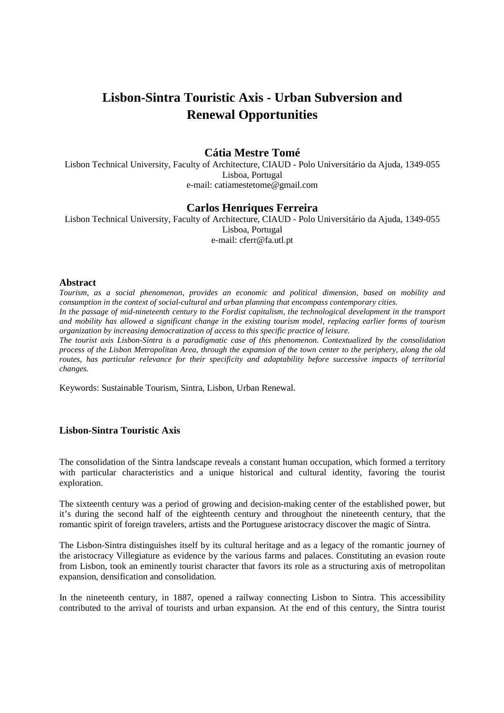# **Lisbon-Sintra Touristic Axis - Urban Subversion and Renewal Opportunities**

## **Cátia Mestre Tomé**

Lisbon Technical University, Faculty of Architecture, CIAUD - Polo Universitário da Ajuda, 1349-055 Lisboa, Portugal e-mail: catiamestetome@gmail.com

### **Carlos Henriques Ferreira**

Lisbon Technical University, Faculty of Architecture, CIAUD - Polo Universitário da Ajuda, 1349-055 Lisboa, Portugal e-mail: cferr@fa.utl.pt

#### **Abstract**

*Tourism, as a social phenomenon, provides an economic and political dimension, based on mobility and consumption in the context of social-cultural and urban planning that encompass contemporary cities.*  In the passage of mid-nineteenth century to the Fordist capitalism, the technological development in the transport *and mobility has allowed a significant change in the existing tourism model, replacing earlier forms of tourism organization by increasing democratization of access to this specific practice of leisure.* 

*The tourist axis Lisbon-Sintra is a paradigmatic case of this phenomenon. Contextualized by the consolidation process of the Lisbon Metropolitan Area, through the expansion of the town center to the periphery, along the old routes, has particular relevance for their specificity and adaptability before successive impacts of territorial changes.* 

Keywords: Sustainable Tourism, Sintra, Lisbon, Urban Renewal.

# **Lisbon-Sintra Touristic Axis**

The consolidation of the Sintra landscape reveals a constant human occupation, which formed a territory with particular characteristics and a unique historical and cultural identity, favoring the tourist exploration.

The sixteenth century was a period of growing and decision-making center of the established power, but it's during the second half of the eighteenth century and throughout the nineteenth century, that the romantic spirit of foreign travelers, artists and the Portuguese aristocracy discover the magic of Sintra.

The Lisbon-Sintra distinguishes itself by its cultural heritage and as a legacy of the romantic journey of the aristocracy Villegiature as evidence by the various farms and palaces. Constituting an evasion route from Lisbon, took an eminently tourist character that favors its role as a structuring axis of metropolitan expansion, densification and consolidation.

In the nineteenth century, in 1887, opened a railway connecting Lisbon to Sintra. This accessibility contributed to the arrival of tourists and urban expansion. At the end of this century, the Sintra tourist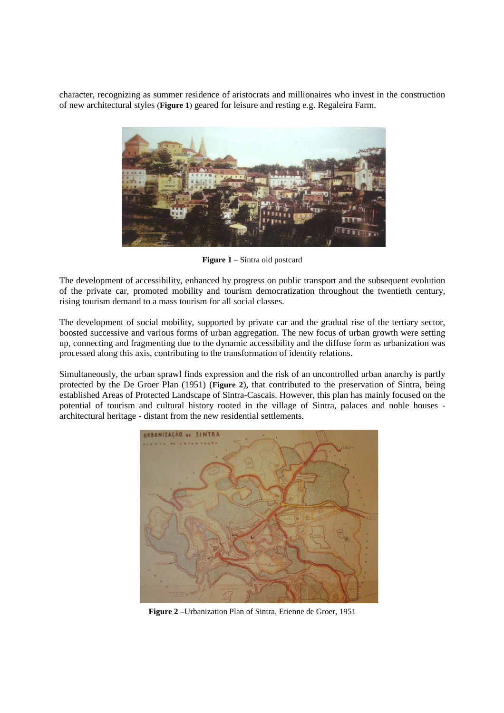character, recognizing as summer residence of aristocrats and millionaires who invest in the construction of new architectural styles (**Figure 1**) geared for leisure and resting e.g. Regaleira Farm.



**Figure 1** – Sintra old postcard

The development of accessibility, enhanced by progress on public transport and the subsequent evolution of the private car, promoted mobility and tourism democratization throughout the twentieth century, rising tourism demand to a mass tourism for all social classes.

The development of social mobility, supported by private car and the gradual rise of the tertiary sector, boosted successive and various forms of urban aggregation. The new focus of urban growth were setting up, connecting and fragmenting due to the dynamic accessibility and the diffuse form as urbanization was processed along this axis, contributing to the transformation of identity relations.

Simultaneously, the urban sprawl finds expression and the risk of an uncontrolled urban anarchy is partly protected by the De Groer Plan (1951) (**Figure 2**), that contributed to the preservation of Sintra, being established Areas of Protected Landscape of Sintra-Cascais. However, this plan has mainly focused on the potential of tourism and cultural history rooted in the village of Sintra, palaces and noble houses architectural heritage - distant from the new residential settlements.



**Figure 2** –Urbanization Plan of Sintra, Etienne de Groer, 1951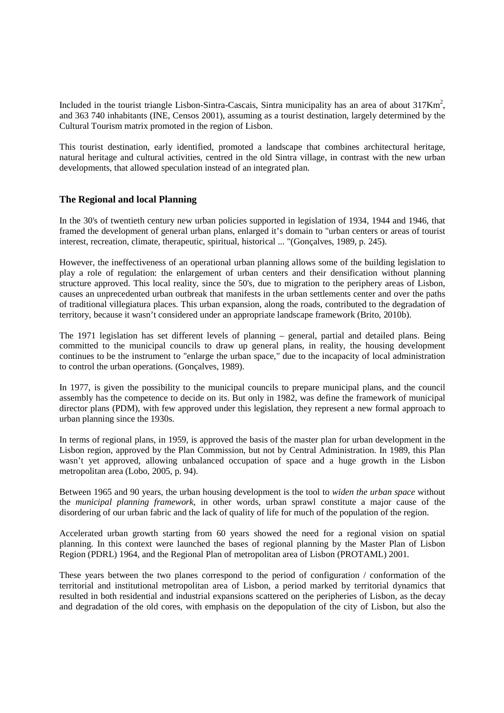Included in the tourist triangle Lisbon-Sintra-Cascais, Sintra municipality has an area of about  $317 \text{Km}^2$ , and 363 740 inhabitants (INE, Censos 2001), assuming as a tourist destination, largely determined by the Cultural Tourism matrix promoted in the region of Lisbon.

This tourist destination, early identified, promoted a landscape that combines architectural heritage, natural heritage and cultural activities, centred in the old Sintra village, in contrast with the new urban developments, that allowed speculation instead of an integrated plan.

### **The Regional and local Planning**

In the 30's of twentieth century new urban policies supported in legislation of 1934, 1944 and 1946, that framed the development of general urban plans, enlarged it's domain to "urban centers or areas of tourist interest, recreation, climate, therapeutic, spiritual, historical ... "(Gonçalves, 1989, p. 245).

However, the ineffectiveness of an operational urban planning allows some of the building legislation to play a role of regulation: the enlargement of urban centers and their densification without planning structure approved. This local reality, since the 50's, due to migration to the periphery areas of Lisbon, causes an unprecedented urban outbreak that manifests in the urban settlements center and over the paths of traditional villegiatura places. This urban expansion, along the roads, contributed to the degradation of territory, because it wasn't considered under an appropriate landscape framework (Brito, 2010b).

The 1971 legislation has set different levels of planning – general, partial and detailed plans. Being committed to the municipal councils to draw up general plans, in reality, the housing development continues to be the instrument to "enlarge the urban space," due to the incapacity of local administration to control the urban operations. (Gonçalves, 1989).

In 1977, is given the possibility to the municipal councils to prepare municipal plans, and the council assembly has the competence to decide on its. But only in 1982, was define the framework of municipal director plans (PDM), with few approved under this legislation, they represent a new formal approach to urban planning since the 1930s.

In terms of regional plans, in 1959, is approved the basis of the master plan for urban development in the Lisbon region, approved by the Plan Commission, but not by Central Administration. In 1989, this Plan wasn't yet approved, allowing unbalanced occupation of space and a huge growth in the Lisbon metropolitan area (Lobo, 2005, p. 94).

Between 1965 and 90 years, the urban housing development is the tool to *widen the urban space* without the *municipal planning framework*, in other words, urban sprawl constitute a major cause of the disordering of our urban fabric and the lack of quality of life for much of the population of the region.

Accelerated urban growth starting from 60 years showed the need for a regional vision on spatial planning. In this context were launched the bases of regional planning by the Master Plan of Lisbon Region (PDRL) 1964, and the Regional Plan of metropolitan area of Lisbon (PROTAML) 2001.

These years between the two planes correspond to the period of configuration / conformation of the territorial and institutional metropolitan area of Lisbon, a period marked by territorial dynamics that resulted in both residential and industrial expansions scattered on the peripheries of Lisbon, as the decay and degradation of the old cores, with emphasis on the depopulation of the city of Lisbon, but also the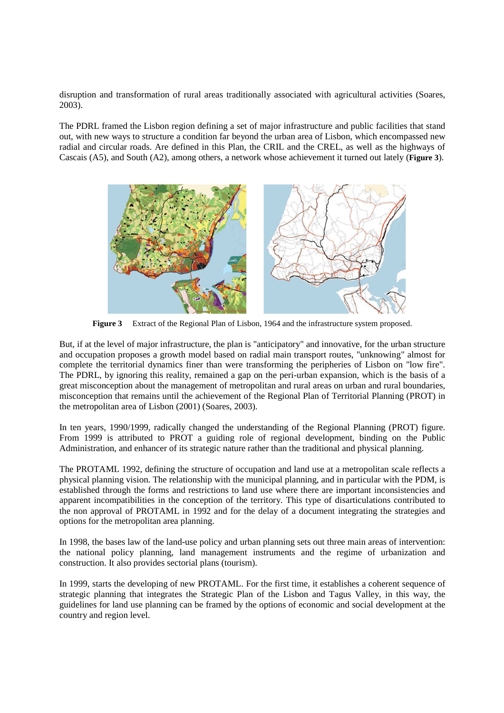disruption and transformation of rural areas traditionally associated with agricultural activities (Soares, 2003).

The PDRL framed the Lisbon region defining a set of major infrastructure and public facilities that stand out, with new ways to structure a condition far beyond the urban area of Lisbon, which encompassed new radial and circular roads. Are defined in this Plan, the CRIL and the CREL, as well as the highways of Cascais (A5), and South (A2), among others, a network whose achievement it turned out lately (**Figure 3**).



**Figure 3** Extract of the Regional Plan of Lisbon, 1964 and the infrastructure system proposed.

But, if at the level of major infrastructure, the plan is "anticipatory" and innovative, for the urban structure and occupation proposes a growth model based on radial main transport routes, "unknowing" almost for complete the territorial dynamics finer than were transforming the peripheries of Lisbon on "low fire". The PDRL, by ignoring this reality, remained a gap on the peri-urban expansion, which is the basis of a great misconception about the management of metropolitan and rural areas on urban and rural boundaries, misconception that remains until the achievement of the Regional Plan of Territorial Planning (PROT) in the metropolitan area of Lisbon (2001) (Soares, 2003).

In ten years, 1990/1999, radically changed the understanding of the Regional Planning (PROT) figure. From 1999 is attributed to PROT a guiding role of regional development, binding on the Public Administration, and enhancer of its strategic nature rather than the traditional and physical planning.

The PROTAML 1992, defining the structure of occupation and land use at a metropolitan scale reflects a physical planning vision. The relationship with the municipal planning, and in particular with the PDM, is established through the forms and restrictions to land use where there are important inconsistencies and apparent incompatibilities in the conception of the territory. This type of disarticulations contributed to the non approval of PROTAML in 1992 and for the delay of a document integrating the strategies and options for the metropolitan area planning.

In 1998, the bases law of the land-use policy and urban planning sets out three main areas of intervention: the national policy planning, land management instruments and the regime of urbanization and construction. It also provides sectorial plans (tourism).

In 1999, starts the developing of new PROTAML. For the first time, it establishes a coherent sequence of strategic planning that integrates the Strategic Plan of the Lisbon and Tagus Valley, in this way, the guidelines for land use planning can be framed by the options of economic and social development at the country and region level.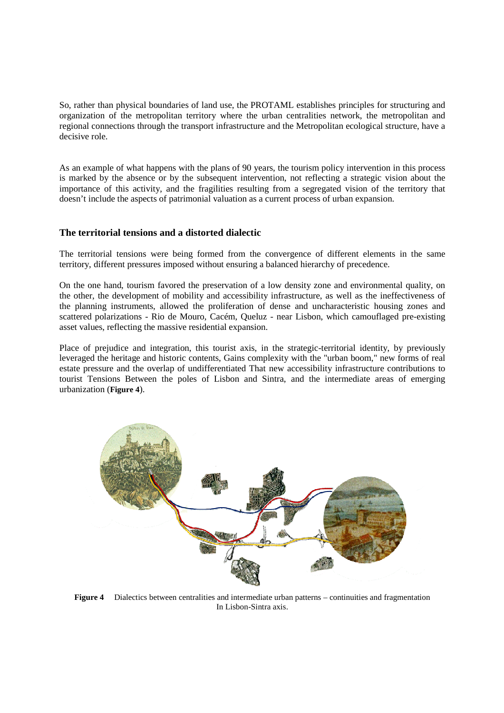So, rather than physical boundaries of land use, the PROTAML establishes principles for structuring and organization of the metropolitan territory where the urban centralities network, the metropolitan and regional connections through the transport infrastructure and the Metropolitan ecological structure, have a decisive role.

As an example of what happens with the plans of 90 years, the tourism policy intervention in this process is marked by the absence or by the subsequent intervention, not reflecting a strategic vision about the importance of this activity, and the fragilities resulting from a segregated vision of the territory that doesn't include the aspects of patrimonial valuation as a current process of urban expansion.

#### **The territorial tensions and a distorted dialectic**

The territorial tensions were being formed from the convergence of different elements in the same territory, different pressures imposed without ensuring a balanced hierarchy of precedence.

On the one hand, tourism favored the preservation of a low density zone and environmental quality, on the other, the development of mobility and accessibility infrastructure, as well as the ineffectiveness of the planning instruments, allowed the proliferation of dense and uncharacteristic housing zones and scattered polarizations - Rio de Mouro, Cacém, Queluz - near Lisbon, which camouflaged pre-existing asset values, reflecting the massive residential expansion.

Place of prejudice and integration, this tourist axis, in the strategic-territorial identity, by previously leveraged the heritage and historic contents, Gains complexity with the "urban boom," new forms of real estate pressure and the overlap of undifferentiated That new accessibility infrastructure contributions to tourist Tensions Between the poles of Lisbon and Sintra, and the intermediate areas of emerging urbanization (**Figure 4**).



**Figure 4** Dialectics between centralities and intermediate urban patterns – continuities and fragmentation In Lisbon-Sintra axis.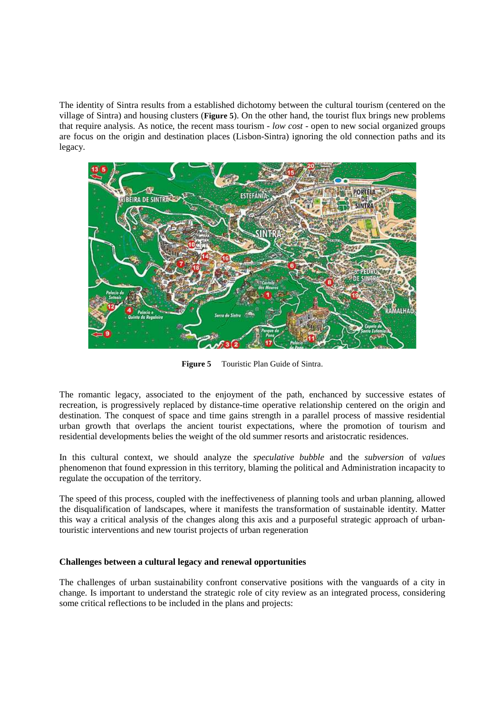The identity of Sintra results from a established dichotomy between the cultural tourism (centered on the village of Sintra) and housing clusters (**Figure 5**). On the other hand, the tourist flux brings new problems that require analysis. As notice, the recent mass tourism - *low cost* - open to new social organized groups are focus on the origin and destination places (Lisbon-Sintra) ignoring the old connection paths and its legacy.



**Figure 5** Touristic Plan Guide of Sintra.

The romantic legacy, associated to the enjoyment of the path, enchanced by successive estates of recreation, is progressively replaced by distance-time operative relationship centered on the origin and destination. The conquest of space and time gains strength in a parallel process of massive residential urban growth that overlaps the ancient tourist expectations, where the promotion of tourism and residential developments belies the weight of the old summer resorts and aristocratic residences.

In this cultural context, we should analyze the *speculative bubble* and the *subversion* of *values* phenomenon that found expression in this territory, blaming the political and Administration incapacity to regulate the occupation of the territory.

The speed of this process, coupled with the ineffectiveness of planning tools and urban planning, allowed the disqualification of landscapes, where it manifests the transformation of sustainable identity. Matter this way a critical analysis of the changes along this axis and a purposeful strategic approach of urbantouristic interventions and new tourist projects of urban regeneration

#### **Challenges between a cultural legacy and renewal opportunities**

The challenges of urban sustainability confront conservative positions with the vanguards of a city in change. Is important to understand the strategic role of city review as an integrated process, considering some critical reflections to be included in the plans and projects: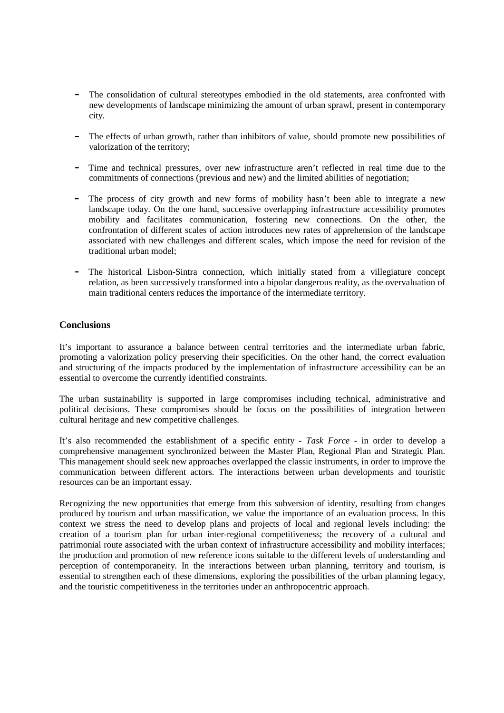- The consolidation of cultural stereotypes embodied in the old statements, area confronted with new developments of landscape minimizing the amount of urban sprawl, present in contemporary city.
- The effects of urban growth, rather than inhibitors of value, should promote new possibilities of valorization of the territory;
- Time and technical pressures, over new infrastructure aren't reflected in real time due to the commitments of connections (previous and new) and the limited abilities of negotiation;
- The process of city growth and new forms of mobility hasn't been able to integrate a new landscape today. On the one hand, successive overlapping infrastructure accessibility promotes mobility and facilitates communication, fostering new connections. On the other, the confrontation of different scales of action introduces new rates of apprehension of the landscape associated with new challenges and different scales, which impose the need for revision of the traditional urban model;
- The historical Lisbon-Sintra connection, which initially stated from a villegiature concept relation, as been successively transformed into a bipolar dangerous reality, as the overvaluation of main traditional centers reduces the importance of the intermediate territory.

### **Conclusions**

It's important to assurance a balance between central territories and the intermediate urban fabric, promoting a valorization policy preserving their specificities. On the other hand, the correct evaluation and structuring of the impacts produced by the implementation of infrastructure accessibility can be an essential to overcome the currently identified constraints.

The urban sustainability is supported in large compromises including technical, administrative and political decisions. These compromises should be focus on the possibilities of integration between cultural heritage and new competitive challenges.

It's also recommended the establishment of a specific entity - *Task Force* - in order to develop a comprehensive management synchronized between the Master Plan, Regional Plan and Strategic Plan. This management should seek new approaches overlapped the classic instruments, in order to improve the communication between different actors. The interactions between urban developments and touristic resources can be an important essay.

Recognizing the new opportunities that emerge from this subversion of identity, resulting from changes produced by tourism and urban massification, we value the importance of an evaluation process. In this context we stress the need to develop plans and projects of local and regional levels including: the creation of a tourism plan for urban inter-regional competitiveness; the recovery of a cultural and patrimonial route associated with the urban context of infrastructure accessibility and mobility interfaces; the production and promotion of new reference icons suitable to the different levels of understanding and perception of contemporaneity. In the interactions between urban planning, territory and tourism, is essential to strengthen each of these dimensions, exploring the possibilities of the urban planning legacy, and the touristic competitiveness in the territories under an anthropocentric approach.